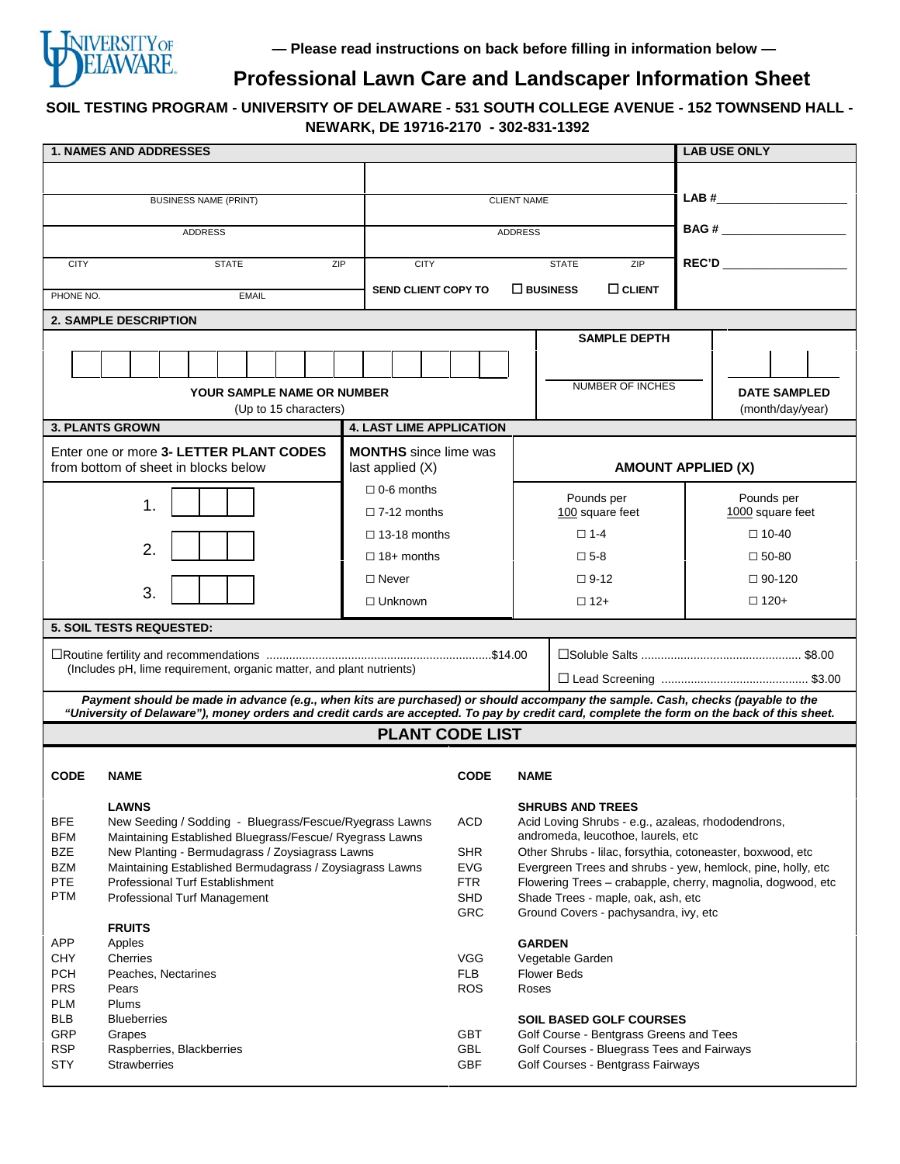

# **Professional Lawn Care and Landscaper Information Sheet**

## **SOIL TESTING PROGRAM - UNIVERSITY OF DELAWARE - 531 SOUTH COLLEGE AVENUE - 152 TOWNSEND HALL - NEWARK, DE 19716-2170 - 302-831-1392**

|                                                                                                                                                                                                                                                                              | <b>1. NAMES AND ADDRESSES</b>                                                                               |                                                    |                             |                                                                                                   |                                                                                                  |  | <b>LAB USE ONLY</b>                                                                                                                                                                                                                                                                                                                                 |  |
|------------------------------------------------------------------------------------------------------------------------------------------------------------------------------------------------------------------------------------------------------------------------------|-------------------------------------------------------------------------------------------------------------|----------------------------------------------------|-----------------------------|---------------------------------------------------------------------------------------------------|--------------------------------------------------------------------------------------------------|--|-----------------------------------------------------------------------------------------------------------------------------------------------------------------------------------------------------------------------------------------------------------------------------------------------------------------------------------------------------|--|
|                                                                                                                                                                                                                                                                              |                                                                                                             |                                                    |                             |                                                                                                   |                                                                                                  |  |                                                                                                                                                                                                                                                                                                                                                     |  |
|                                                                                                                                                                                                                                                                              | <b>BUSINESS NAME (PRINT)</b>                                                                                |                                                    |                             |                                                                                                   |                                                                                                  |  | $\begin{picture}(20,10) \put(0,0){\line(1,0){10}} \put(15,0){\line(1,0){10}} \put(15,0){\line(1,0){10}} \put(15,0){\line(1,0){10}} \put(15,0){\line(1,0){10}} \put(15,0){\line(1,0){10}} \put(15,0){\line(1,0){10}} \put(15,0){\line(1,0){10}} \put(15,0){\line(1,0){10}} \put(15,0){\line(1,0){10}} \put(15,0){\line(1,0){10}} \put(15,0){\line(1$ |  |
|                                                                                                                                                                                                                                                                              |                                                                                                             |                                                    | <b>CLIENT NAME</b>          |                                                                                                   |                                                                                                  |  |                                                                                                                                                                                                                                                                                                                                                     |  |
|                                                                                                                                                                                                                                                                              | <b>ADDRESS</b>                                                                                              |                                                    | <b>ADDRESS</b>              |                                                                                                   |                                                                                                  |  |                                                                                                                                                                                                                                                                                                                                                     |  |
| <b>CITY</b>                                                                                                                                                                                                                                                                  | <b>STATE</b>                                                                                                | ZIP                                                | <b>CITY</b><br><b>STATE</b> |                                                                                                   |                                                                                                  |  | REC'D ___________________                                                                                                                                                                                                                                                                                                                           |  |
|                                                                                                                                                                                                                                                                              |                                                                                                             |                                                    |                             |                                                                                                   | ZIP                                                                                              |  |                                                                                                                                                                                                                                                                                                                                                     |  |
| PHONE NO.                                                                                                                                                                                                                                                                    | <b>EMAIL</b>                                                                                                | <b>SEND CLIENT COPY TO</b>                         |                             | $\square$ BUSINESS                                                                                | $\Box$ CLIENT                                                                                    |  |                                                                                                                                                                                                                                                                                                                                                     |  |
| <b>2. SAMPLE DESCRIPTION</b>                                                                                                                                                                                                                                                 |                                                                                                             |                                                    |                             |                                                                                                   |                                                                                                  |  |                                                                                                                                                                                                                                                                                                                                                     |  |
|                                                                                                                                                                                                                                                                              |                                                                                                             |                                                    |                             |                                                                                                   | <b>SAMPLE DEPTH</b>                                                                              |  |                                                                                                                                                                                                                                                                                                                                                     |  |
|                                                                                                                                                                                                                                                                              |                                                                                                             |                                                    |                             |                                                                                                   |                                                                                                  |  |                                                                                                                                                                                                                                                                                                                                                     |  |
| <b>YOUR SAMPLE NAME OR NUMBER</b>                                                                                                                                                                                                                                            |                                                                                                             |                                                    |                             |                                                                                                   | NUMBER OF INCHES                                                                                 |  | <b>DATE SAMPLED</b>                                                                                                                                                                                                                                                                                                                                 |  |
| (Up to 15 characters)                                                                                                                                                                                                                                                        |                                                                                                             |                                                    |                             |                                                                                                   |                                                                                                  |  | (month/day/year)                                                                                                                                                                                                                                                                                                                                    |  |
| <b>4. LAST LIME APPLICATION</b><br><b>3. PLANTS GROWN</b>                                                                                                                                                                                                                    |                                                                                                             |                                                    |                             |                                                                                                   |                                                                                                  |  |                                                                                                                                                                                                                                                                                                                                                     |  |
|                                                                                                                                                                                                                                                                              | Enter one or more 3- LETTER PLANT CODES<br>from bottom of sheet in blocks below                             | <b>MONTHS</b> since lime was<br>last applied $(X)$ |                             |                                                                                                   | <b>AMOUNT APPLIED (X)</b>                                                                        |  |                                                                                                                                                                                                                                                                                                                                                     |  |
|                                                                                                                                                                                                                                                                              |                                                                                                             | $\Box$ 0-6 months                                  |                             |                                                                                                   |                                                                                                  |  |                                                                                                                                                                                                                                                                                                                                                     |  |
|                                                                                                                                                                                                                                                                              | $\mathbf 1$                                                                                                 | $\Box$ 7-12 months                                 |                             | Pounds per<br>100 square feet                                                                     |                                                                                                  |  | Pounds per<br>1000 square feet                                                                                                                                                                                                                                                                                                                      |  |
|                                                                                                                                                                                                                                                                              |                                                                                                             | $\Box$ 13-18 months                                |                             | $\square$ 1-4                                                                                     |                                                                                                  |  | $\Box$ 10-40                                                                                                                                                                                                                                                                                                                                        |  |
|                                                                                                                                                                                                                                                                              | 2.                                                                                                          |                                                    | $\Box$ 18+ months           |                                                                                                   | $\square$ 5-8                                                                                    |  | $\square$ 50-80                                                                                                                                                                                                                                                                                                                                     |  |
|                                                                                                                                                                                                                                                                              |                                                                                                             | $\Box$ Never                                       |                             |                                                                                                   | $\Box$ 9-12                                                                                      |  | $\Box$ 90-120                                                                                                                                                                                                                                                                                                                                       |  |
| 3.<br>$\Box$ Unknown                                                                                                                                                                                                                                                         |                                                                                                             |                                                    |                             | $\Box$ 12+                                                                                        |                                                                                                  |  | $\Box$ 120+                                                                                                                                                                                                                                                                                                                                         |  |
| <b>5. SOIL TESTS REQUESTED:</b>                                                                                                                                                                                                                                              |                                                                                                             |                                                    |                             |                                                                                                   |                                                                                                  |  |                                                                                                                                                                                                                                                                                                                                                     |  |
|                                                                                                                                                                                                                                                                              |                                                                                                             |                                                    |                             |                                                                                                   |                                                                                                  |  |                                                                                                                                                                                                                                                                                                                                                     |  |
| (Includes pH, lime requirement, organic matter, and plant nutrients)                                                                                                                                                                                                         |                                                                                                             |                                                    |                             |                                                                                                   |                                                                                                  |  |                                                                                                                                                                                                                                                                                                                                                     |  |
|                                                                                                                                                                                                                                                                              |                                                                                                             |                                                    |                             |                                                                                                   |                                                                                                  |  |                                                                                                                                                                                                                                                                                                                                                     |  |
| Payment should be made in advance (e.g., when kits are purchased) or should accompany the sample. Cash, checks (payable to the<br>"University of Delaware"), money orders and credit cards are accepted. To pay by credit card, complete the form on the back of this sheet. |                                                                                                             |                                                    |                             |                                                                                                   |                                                                                                  |  |                                                                                                                                                                                                                                                                                                                                                     |  |
| <b>PLANT CODE LIST</b>                                                                                                                                                                                                                                                       |                                                                                                             |                                                    |                             |                                                                                                   |                                                                                                  |  |                                                                                                                                                                                                                                                                                                                                                     |  |
|                                                                                                                                                                                                                                                                              |                                                                                                             |                                                    |                             |                                                                                                   |                                                                                                  |  |                                                                                                                                                                                                                                                                                                                                                     |  |
| <b>CODE</b>                                                                                                                                                                                                                                                                  | <b>NAME</b>                                                                                                 | <b>CODE</b>                                        | <b>NAME</b>                 |                                                                                                   |                                                                                                  |  |                                                                                                                                                                                                                                                                                                                                                     |  |
|                                                                                                                                                                                                                                                                              | <b>LAWNS</b>                                                                                                |                                                    |                             |                                                                                                   | <b>SHRUBS AND TREES</b>                                                                          |  |                                                                                                                                                                                                                                                                                                                                                     |  |
| BFE                                                                                                                                                                                                                                                                          | New Seeding / Sodding - Bluegrass/Fescue/Ryegrass Lawns                                                     |                                                    |                             |                                                                                                   | Acid Loving Shrubs - e.g., azaleas, rhododendrons,                                               |  |                                                                                                                                                                                                                                                                                                                                                     |  |
| <b>BFM</b><br><b>BZE</b>                                                                                                                                                                                                                                                     | Maintaining Established Bluegrass/Fescue/ Ryegrass Lawns<br>New Planting - Bermudagrass / Zoysiagrass Lawns |                                                    |                             |                                                                                                   | andromeda, leucothoe, laurels, etc<br>Other Shrubs - lilac, forsythia, cotoneaster, boxwood, etc |  |                                                                                                                                                                                                                                                                                                                                                     |  |
| <b>BZM</b>                                                                                                                                                                                                                                                                   | Maintaining Established Bermudagrass / Zoysiagrass Lawns                                                    |                                                    |                             |                                                                                                   | Evergreen Trees and shrubs - yew, hemlock, pine, holly, etc                                      |  |                                                                                                                                                                                                                                                                                                                                                     |  |
| <b>PTE</b><br><b>PTM</b>                                                                                                                                                                                                                                                     | <b>Professional Turf Establishment</b><br>Professional Turf Management                                      |                                                    |                             | Flowering Trees - crabapple, cherry, magnolia, dogwood, etc<br>Shade Trees - maple, oak, ash, etc |                                                                                                  |  |                                                                                                                                                                                                                                                                                                                                                     |  |
|                                                                                                                                                                                                                                                                              |                                                                                                             |                                                    | SHD<br>GRC                  | Ground Covers - pachysandra, ivy, etc                                                             |                                                                                                  |  |                                                                                                                                                                                                                                                                                                                                                     |  |
| <b>FRUITS</b>                                                                                                                                                                                                                                                                |                                                                                                             |                                                    |                             |                                                                                                   |                                                                                                  |  |                                                                                                                                                                                                                                                                                                                                                     |  |
| <b>APP</b><br><b>CHY</b>                                                                                                                                                                                                                                                     | Apples<br>Cherries                                                                                          |                                                    |                             |                                                                                                   | <b>GARDEN</b><br>Vegetable Garden                                                                |  |                                                                                                                                                                                                                                                                                                                                                     |  |
| <b>PCH</b>                                                                                                                                                                                                                                                                   | Peaches, Nectarines                                                                                         |                                                    |                             |                                                                                                   | <b>Flower Beds</b>                                                                               |  |                                                                                                                                                                                                                                                                                                                                                     |  |
| <b>PRS</b>                                                                                                                                                                                                                                                                   | Pears                                                                                                       |                                                    |                             | Roses                                                                                             |                                                                                                  |  |                                                                                                                                                                                                                                                                                                                                                     |  |
| <b>PLM</b><br><b>BLB</b>                                                                                                                                                                                                                                                     | Plums<br><b>Blueberries</b>                                                                                 |                                                    |                             |                                                                                                   | <b>SOIL BASED GOLF COURSES</b>                                                                   |  |                                                                                                                                                                                                                                                                                                                                                     |  |
| GRP                                                                                                                                                                                                                                                                          | Grapes                                                                                                      |                                                    |                             |                                                                                                   | Golf Course - Bentgrass Greens and Tees                                                          |  |                                                                                                                                                                                                                                                                                                                                                     |  |
| <b>RSP</b>                                                                                                                                                                                                                                                                   | Raspberries, Blackberries                                                                                   |                                                    |                             | Golf Courses - Bluegrass Tees and Fairways<br>Golf Courses - Bentgrass Fairways                   |                                                                                                  |  |                                                                                                                                                                                                                                                                                                                                                     |  |
| <b>STY</b>                                                                                                                                                                                                                                                                   | <b>Strawberries</b>                                                                                         |                                                    | <b>GBF</b>                  |                                                                                                   |                                                                                                  |  |                                                                                                                                                                                                                                                                                                                                                     |  |